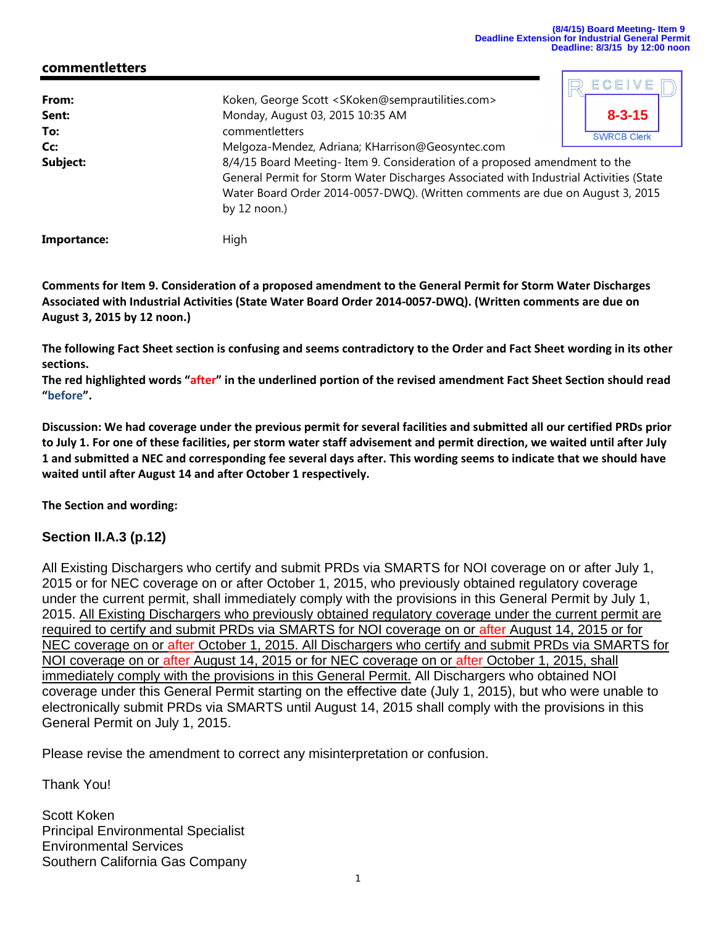D ECEIVE D

## **commentletters**

| From:<br>Sent:<br>To: | Koken, George Scott <skoken@semprautilities.com><br/><math>8 - 3 - 15</math><br/>Monday, August 03, 2015 10:35 AM<br/>commentletters<br/><b>SWRCB Clerk</b></skoken@semprautilities.com>                                                                                                                                           |  |
|-----------------------|------------------------------------------------------------------------------------------------------------------------------------------------------------------------------------------------------------------------------------------------------------------------------------------------------------------------------------|--|
| Cc:<br>Subject:       | Melgoza-Mendez, Adriana; KHarrison@Geosyntec.com<br>8/4/15 Board Meeting-Item 9. Consideration of a proposed amendment to the<br>General Permit for Storm Water Discharges Associated with Industrial Activities (State<br>Water Board Order 2014-0057-DWQ). (Written comments are due on August 3, 2015<br>by $12 \text{ noon}$ ) |  |
| Importance:           | High                                                                                                                                                                                                                                                                                                                               |  |

Comments for Item 9. Consideration of a proposed amendment to the General Permit for Storm Water Discharges Associated with Industrial Activities (State Water Board Order 2014-0057-DWQ). (Written comments are due on **August 3, 2015 by 12 noon.)**

The following Fact Sheet section is confusing and seems contradictory to the Order and Fact Sheet wording in its other **sections.**

The red highlighted words "after" in the underlined portion of the revised amendment Fact Sheet Section should read **"before".** 

Discussion: We had coverage under the previous permit for several facilities and submitted all our certified PRDs prior to July 1. For one of these facilities, per storm water staff advisement and permit direction, we waited until after July 1 and submitted a NEC and corresponding fee several days after. This wording seems to indicate that we should have **waited until after August 14 and after October 1 respectively.**

**The Section and wording:**

## **Section II.A.3 (p.12)**

All Existing Dischargers who certify and submit PRDs via SMARTS for NOI coverage on or after July 1, 2015 or for NEC coverage on or after October 1, 2015, who previously obtained regulatory coverage under the current permit, shall immediately comply with the provisions in this General Permit by July 1, 2015. All Existing Dischargers who previously obtained regulatory coverage under the current permit are required to certify and submit PRDs via SMARTS for NOI coverage on or after August 14, 2015 or for NEC coverage on or after October 1, 2015. All Dischargers who certify and submit PRDs via SMARTS for NOI coverage on or after August 14, 2015 or for NEC coverage on or after October 1, 2015, shall immediately comply with the provisions in this General Permit. All Dischargers who obtained NOI coverage under this General Permit starting on the effective date (July 1, 2015), but who were unable to electronically submit PRDs via SMARTS until August 14, 2015 shall comply with the provisions in this General Permit on July 1, 2015.

Please revise the amendment to correct any misinterpretation or confusion.

Thank You!

Scott Koken Principal Environmental Specialist Environmental Services Southern California Gas Company